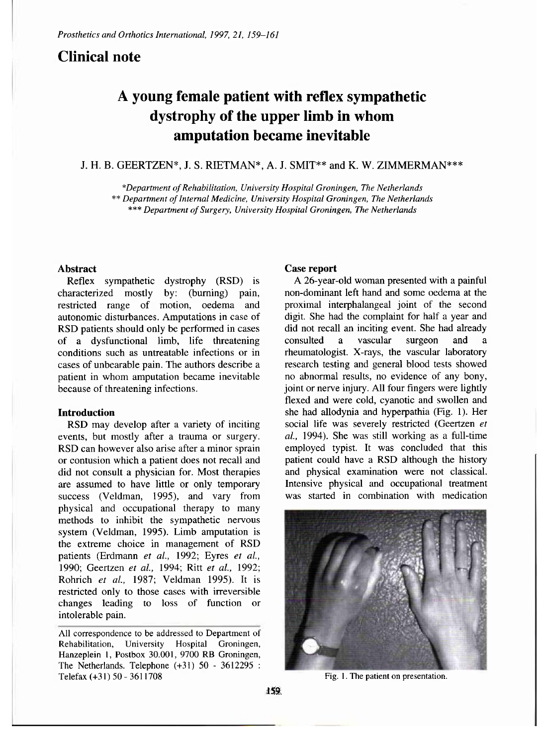## **Clinical note**

# **A young female patient with reflex sympathetic dystrophy of the upper limb in whom amputation became inevitable**

## J. H. B. GEERTZEN\*, J. S. RIETMAN\*, A. J. SMIT\*\* and K. W. ZIMMERMAN\*\*\*

*\*Department of Rehabilitation, University Hospital Groningen, The Netherlands* 

*\*\* Department of Internal Medicine, University Hospital Groningen, The Netherlands* 

*\*\*\* Department of Surgery, University Hospital Groningen, The Netherlands* 

## **Abstract**

Reflex sympathetic dystrophy (RSD) is characterized mostly by: (burning) pain, restricted range of motion, oedema and autonomic disturbances. Amputations in case of RSD patients should only be performed in cases of a dysfunctional limb, life threatening conditions such as untreatable infections or in cases of unbearable pain. The authors describe a patient in whom amputation became inevitable because of threatening infections.

### **Introduction**

RSD may develop after a variety of inciting events, but mostly after a trauma or surgery. RSD can however also arise after a minor sprain or contusion which a patient does not recall and did not consult a physician for. Most therapies are assumed to have little or only temporary success (Veldman, 1995), and vary from physical and occupational therapy to many methods to inhibit the sympathetic nervous system (Veldman, 1995). Limb amputation is the extreme choice in management of RSD patients (Erdmann *et al.,* 1992; Eyres *et al.,*  1990; Geertzen *et al.,* 1994; Ritt *et al.,* 1992; Rohrich *et al.,* 1987; Veldman 1995). It is restricted only to those cases with irreversible changes leading to loss of function or intolerable pain.

All correspondence to be addressed to Department of Rehabilitation, University Hospital Groningen, Hanzeplein 1, Postbox 30.001, 9700 RB Groningen, The Netherlands. Telephone (+31) 50 - 3612295 : Telefax  $(+31)$  50 - 3611708 Fig. 1. The patient on presentation.

## **Case report**

A 26-year-old woman presented with a painful non-dominant left hand and some oedema at the proximal interphalangeal joint of the second digit. She had the complaint for half a year and did not recall an inciting event. She had already consulted a vascular surgeon and a rheumatologist. X-rays, the vascular laboratory research testing and general blood tests showed no abnormal results, no evidence of any bony, joint or nerve injury. All four fingers were lightly flexed and were cold, cyanotic and swollen and she had allodynia and hyperpathia (Fig. 1). Her social life was severely restricted (Geertzen *et al.,* 1994). She was still working as a full-time employed typist. It was concluded that this patient could have a RSD although the history and physical examination were not classical. Intensive physical and occupational treatment was started in combination with medication

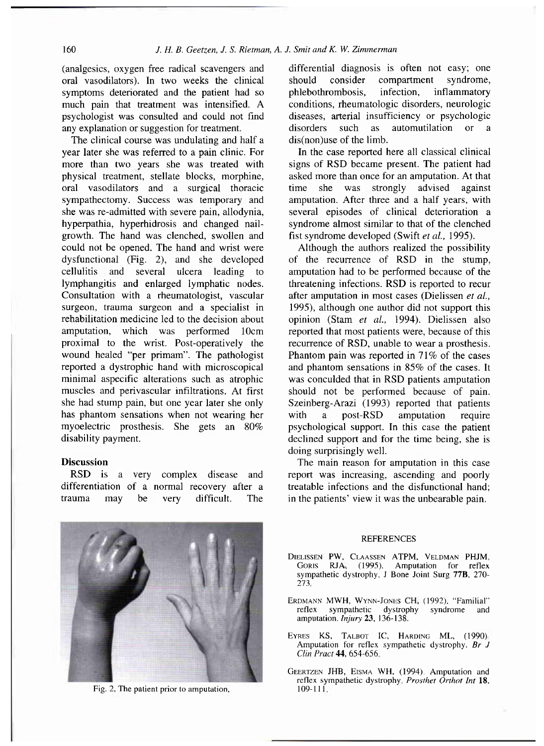(analgesics, oxygen free radical scavengers and oral vasodilators). In two weeks the clinical symptoms deteriorated and the patient had so much pain that treatment was intensified. A psychologist was consulted and could not find any explanation or suggestion for treatment.

The clinical course was undulating and half a year later she was referred to a pain clinic. For more than two years she was treated with physical treatment, stellate blocks, morphine, oral vasodilators and a surgical thoracic sympathectomy. Success was temporary and she was re-admitted with severe pain, allodynia, hyperpathia, hyperhidrosis and changed nailgrowth. The hand was clenched, swollen and could not be opened. The hand and wrist were dysfunctional (Fig. 2), and she developed cellulitis and several ulcera leading to lymphangitis and enlarged lymphatic nodes. Consultation with a rheumatologist, vascular surgeon, trauma surgeon and a specialist in rehabilitation medicine led to the decision about amputation, which was performed 10cm proximal to the wrist. Post-operatively the wound healed "per primam". The pathologist reported a dystrophic hand with microscopical minimal aspecific alterations such as atrophic muscles and perivascular infiltrations. At first she had stump pain, but one year later she only has phantom sensations when not wearing her myoelectric prosthesis. She gets an 80% disability payment.

### **Discussion**

RSD is a very complex disease and differentiation of a normal recovery after a trauma may be very difficult. The



Fig. 2. The patient prior to amputation.

differential diagnosis is often not easy; one should consider compartment syndrome, phlebothrombosis, infection, inflammatory conditions, rheumatologic disorders, neurologic diseases, arterial insufficiency or psychologic disorders such as automutilation or a dis(non)use of the limb.

In the case reported here all classical clinical signs of RSD became present. The patient had asked more than once for an amputation. At that time she was strongly advised against amputation. After three and a half years, with several episodes of clinical deterioration a syndrome almost similar to that of the clenched fist syndrome developed (Swift *et al.,* 1995).

Although the authors realized the possibility of the recurrence of RSD in the stump, amputation had to be performed because of the threatening infections. RSD is reported to recur after amputation in most cases (Dielissen *et al.,*  1995), although one author did not support this opinion (Stam *et al.,* 1994). Dielissen also reported that most patients were, because of this recurrence of RSD, unable to wear a prosthesis. Phantom pain was reported in 71% of the cases and phantom sensations in 85% of the cases. It was conculded that in RSD patients amputation should not be performed because of pain. Szeinberg-Arazi (1993) reported that patients with a post-RSD amputation require psychological support. In this case the patient declined support and for the time being, she is doing surprisingly well.

The main reason for amputation in this case report was increasing, ascending and poorly treatable infections and the disfunctional hand; in the patients' view it was the unbearable pain.

### REFERENCES

DIELISSEN PW, CLAASSEN ATPM, VELDMAN PHJM, GORIS RJA, (1995). Amputation for reflex sympathetic dystrophy. J Bone Joint Surg 77B, 270- 273.

ERDMANN MWH, WYNN-JONES CH, (1992). "Familial" reflex sympathetic dystrophy syndrome and amputation. *Injury* 23 , 136-138.

- EYRES KS, TALBOT IC, HARDING ML, (1990). Amputation for reflex sympathetic dystrophy. *Br J Clin Pract* 44, 654-656,
- GEERTZEN JHB, EISMA WH, (1994). Amputation and reflex sympathetic dystrophy. *Prosthet Orthot Int* 18,